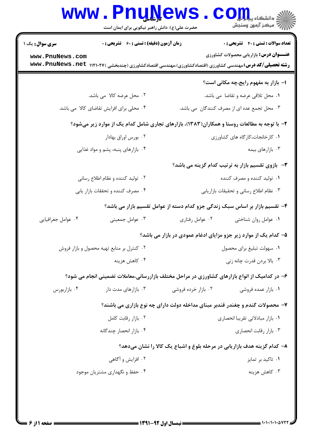| <b>سری سوال :</b> یک ۱ | زمان آزمون (دقیقه) : تستی : 60 ٪ تشریحی : 0 | <b>تعداد سوالات : تستی : 40 ٪ تشریحی : 0</b>                                                     |
|------------------------|---------------------------------------------|--------------------------------------------------------------------------------------------------|
| www.PnuNews.com        |                                             | <b>عنـــوان درس:</b> بازاریابی محصولات کشاورزی                                                   |
| www.PnuNews.net        |                                             | <b>رشته تحصیلی/کد درس:</b> مهندسی کشاورزی (اقتصادکشاورزی)،مهندسی اقتصادکشاورزی (چندبخشی )۱۱۲۱۰۲۷ |
|                        |                                             | ا- بازار به مفهوم رایج،چه مکانی است؟                                                             |
|                        | ۲. محل عرضه کالا می باشد.                   | ۰۱ محل تلاقی عرضه و تقاضا ًمی باشد.                                                              |
|                        | ۰۴ محلی برای افزایش تقاضای کالا می باشد.    | ۰۳ محل تجمع عده ای از مصرف کنندگان  می باشد.                                                     |
|                        |                                             | ۲- با توجه به مطالعات روستا و همکاران(۱۳۸۳)، بازارهای تجاری شامل کدام یک از موارد زیر میشود؟     |
|                        | ۰۲ بورس اوراق بهادار                        | ٠١ كارخانجات،كاركاه هاى كشاورزى                                                                  |
|                        | ۰۴ بازارهای پنبه، پشم و مواد غذایی          | ۰۳ بازارهای بیمه                                                                                 |
|                        |                                             | <b>۳</b> - بازوی تقسیم بازار به ترتیب کدام گزینه می باشد؟                                        |
|                        | ۰۲ تولید کننده و نظام اطلاع رسانی           | ۰۱ تولید کننده و مصرف کننده                                                                      |
|                        | ۰۴ مصرف کننده و تحققات بازار يابي           | ۰۳ نظام اطلاع رسانی و تحقیقات بازاریابی                                                          |
|                        |                                             | ۴– تقسیم بازار بر اساس سبک زندگی جزو کدام دسته از عوامل تقسیم بازار می باشد؟                     |
| ۰۴ عوامل جغرافیایی     | ۰۳ عوامل جمعیتی                             | ۰۲ عوامل رفتاري<br>٠١ عوامل روان شناختي                                                          |
|                        |                                             | ۵- کدام یک از موارد زیر جزو مزایای ادغام عمودی در بازار می باشد؟                                 |
|                        | ۰۲ کنترل بر منابع تهیه محصول و بازار فروش   | ٠١ سهولت تبليغ براي محصول                                                                        |
|                        | ۰۴ کاهش هزینه                               | ۰۳ بالا بردن قدرت چانه زنی                                                                       |
|                        |                                             | ۶- در کدامیک از انواع بازارهای کشاورزی در مراحل مختلف بازاررسانی،معاملات تضمینی انجام می شود؟    |
| ۰۴ بازاربورس           | ۰۳ بازارهای مدت دار                         | ۰۲ بازار خرده فروشی<br>۰۱ بازار عمده فروشی                                                       |
|                        |                                             | ۷- محصولات گندم و چغندر قندبر مبنای مداخله دولت دارای چه نوع بازاری می باشند؟                    |
|                        | ۰۲ بازار رقابت کامل                         | ٠١ بازار مبادلاتي تقريبا انحصاري                                                                 |
|                        | ۰۴ بازار انحصار چندگانه                     | ۰۳ بازار رقابت انحصاری                                                                           |
|                        |                                             | ۸– کدام گزینه هدف بازاریابی در مرحله بلوغ و اشباع یک کالا را نشان میدهد؟                         |
|                        | ۰۲ افزایش و آگاهی                           | ۰۱ تاکید بر تمایز                                                                                |
|                        | ۰۴ حفظ و نگهداری مشتریان موجود              | ۰۳ کاهش هزینه                                                                                    |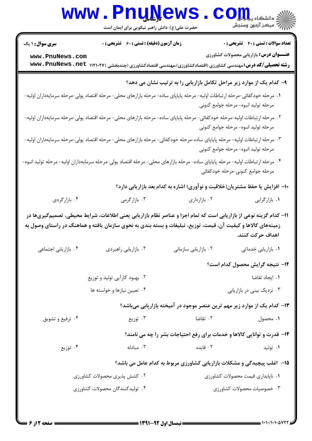|                                                                                                                                 | www.PnuNews<br>حضرت علی(ع): دانش راهبر نیکویی برای ایمان است                                                                                                              |                                                                              |                                                                                                |
|---------------------------------------------------------------------------------------------------------------------------------|---------------------------------------------------------------------------------------------------------------------------------------------------------------------------|------------------------------------------------------------------------------|------------------------------------------------------------------------------------------------|
| <b>سری سوال : ۱ یک</b><br>www.PnuNews.com                                                                                       | <b>زمان آزمون (دقیقه) : تستی : 60 ٪ تشریحی : 0</b><br><b>رشته تحصیلی/گد درس:</b> مهندسی کشاورزی (اقتصادکشاورزی)،مهندسی اقتصادکشاورزی (چندبخشی )۱۲۱۰۲۷ Dww . PnuNews . net |                                                                              | <b>تعداد سوالات : تستی : 40 - تشریحی : .</b><br><b>عنـــوان درس:</b> بازاریابی محصولات کشاورزی |
|                                                                                                                                 |                                                                                                                                                                           | ۹- کدام یک از موارد زیر مراحل تکامل بازاریابی را به ترتیب نشان می دهد؟       |                                                                                                |
| ۰۱ مرحله خودکفائی-مرحله ارتباطات اولیه- مرحله پایاپای ساده- مرحله بازارهای محلی- مرحله اقتصاد پولی-مرحله سرمایهداران اولیه-     |                                                                                                                                                                           |                                                                              | مرحله توليد انبوه- مرحله جوامع كنوني                                                           |
| ۰۲ مرحله ارتباطات اولیه-مرحله خودکفائی- مرحله پایاپای ساده- مرحله بازارهای محلی- مرحله اقتصاد پولی-مرحله سرمایهداران اولیه-     |                                                                                                                                                                           |                                                                              | مرحله توليد انبوه- مرحله جوامع كنوني                                                           |
| ۰۳ مرحله ارتباطات اولیه- مرحله پایاپای ساده-مرحله خودکفائی- مرحله بازارهای محلی- مرحله اقتصاد پولی-مرحله سرمایهداران اولیه-     |                                                                                                                                                                           |                                                                              | مرحله توليد انبوه- مرحله جوامع كنوني                                                           |
| ۰۴ مرحله ارتباطات اولیه- مرحله پایاپای ساده- مرحله بازارهای محلی- مرحله اقتصاد پولی-مرحله سرمایهداران اولیه- مرحله تولید انبوه- |                                                                                                                                                                           |                                                                              | مرحله جوامع كنوني-مرحله خودكفائي                                                               |
|                                                                                                                                 |                                                                                                                                                                           | ۱۰– افزایش یا حفظ مشتریان(خلاقیت و نوآوری) اشاره به کدام بعد بازاریابی دارد؟ |                                                                                                |
| ۰۴ بازارگردی                                                                                                                    | ۰۳ بازارگرمی                                                                                                                                                              | ۰۲ بازارداری                                                                 | ۰۱ بازارگرایی                                                                                  |
| زمینههای کالاها و کیفیت آن، قیمت، توزیع، تبلیغات و بسته بندی به نحوی سازمان یافته و هماهنگ در راستای وصول به                    | 11- کدام گزینه نوعی از بازاریابی است که تمام اجزا و عناصر نظام بازاریابی یعنی اطلاعات، شرایط محیطی، تصمیمگیریها در                                                        |                                                                              | اهداف حركت كنند.                                                                               |
| ۰۴ بازاریابی اجتماعی                                                                                                            | ۰۳ بازاریابی راهبردی                                                                                                                                                      | ٠٢ بازاريابي سازماني                                                         | ٠١. بازاريابي خدماتي                                                                           |
|                                                                                                                                 |                                                                                                                                                                           |                                                                              | 1۲– نتیجه گرایش محصول کدام است؟                                                                |
|                                                                                                                                 | ۰۲ بهبود کارآیی تولید و توزیع                                                                                                                                             |                                                                              | ٠١. ايجاد تقاضا                                                                                |
|                                                                                                                                 | ۰۴ تعیین نیازها و خواسته ها                                                                                                                                               |                                                                              | ۰۳ نزدیک بینی در بازاریابی                                                                     |
|                                                                                                                                 |                                                                                                                                                                           | ۱۳– کدام یک از موارد زیر مهم ترین عنصر موجود در آمیخته بازاریابی میباشد؟     |                                                                                                |
| ۰۴ ترفیع و تشویق                                                                                                                | ۰۳ توزیع                                                                                                                                                                  | ۰۲ تقاضا                                                                     | ۰۱ محصول                                                                                       |
|                                                                                                                                 |                                                                                                                                                                           | ۱۴- قدرت و توانایی کالاها و خدمات برای رفع احتیاجات بشر را چه می نامند؟      |                                                                                                |
| ۰۴ توزیع                                                                                                                        | ۰۳ مبادله                                                                                                                                                                 | ۰۲ فایده                                                                     | ۰۱ تولید                                                                                       |
|                                                                                                                                 |                                                                                                                                                                           | ۱۵- آغلب پیچیدگی و مشکلات بازاریابی کشاورزی مربوط به کدام عامل می باشد؟      |                                                                                                |
|                                                                                                                                 | ۰۲ کشش پذیری محصولات کشاورزی                                                                                                                                              |                                                                              | ۰۱ ناپایداری قیمت محصولات کشاورزی                                                              |
|                                                                                                                                 | ۰۴ تولیدکنندگان محصولات کشاورزی                                                                                                                                           |                                                                              | ۰۳ خصوصیات محصولات کشاورزی                                                                     |
|                                                                                                                                 |                                                                                                                                                                           |                                                                              |                                                                                                |

**: صفحه 2 از 6 =**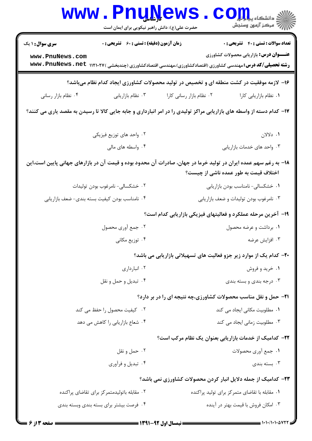|                                           | حضرت علی(ع): دانش راهبر نیکویی برای ایمان است      | <b>UTAC M D</b><br>≶ دانشڪاه پ <b>يا ۽ نور</b><br>∕7 مرڪز آزمون وسنجش                                                                                                                                                 |
|-------------------------------------------|----------------------------------------------------|-----------------------------------------------------------------------------------------------------------------------------------------------------------------------------------------------------------------------|
| <b>سری سوال : ۱ یک</b><br>www.PnuNews.com | <b>زمان آزمون (دقیقه) : تستی : 60 ٪ تشریحی : 0</b> | <b>تعداد سوالات : تستي : 40 - تشريحي : 0</b><br><b>عنـــوان درس:</b> بازاریابی محصولات کشاورزی<br><b>رشته تحصیلی/کد درس:</b> مهندسی کشاورزی (اقتصادکشاورزی)،مهندسی اقتصادکشاورزی (چندبخشی )۱۲۱۰۲۷ Mww . PnuNews . net |
|                                           |                                                    | ۱۶- لازمه موفقیت در کشت منطقه ای و تخصیص در تولید محصولات کشاورزی ایجاد کدام نظام میباشد؟                                                                                                                             |
| ۰۴ نظام بازار رسانی                       | ۰۳ نظام بازاريابي                                  | ٠١. نظام بازاريابي كارا<br>۰۲ نظام بازار رسانی کارا                                                                                                                                                                   |
|                                           |                                                    | ۱۷– کدام دسته از واسطه های بازاریابی مراکز تولیدی را در امر انبارداری و جابه جایی کالا تا رسیدن به مقصد یاری می کنند؟                                                                                                 |
|                                           | ۰۲ واحد های توزیع فیزیکی                           | ۰۱ دلالان                                                                                                                                                                                                             |
|                                           | ۰۴ واسطه های مالی                                  | ۰۳ واحد های خدمات بازاریابی                                                                                                                                                                                           |
|                                           |                                                    | ۱۸− به رغم سهم عمده ایران در تولید خرما در جهان، صادرات آن محدود بوده و قیمت آن در بازارهای جهانی پایین است،این<br>اختلاف قیمت به طور عمده ناشی از چیست؟                                                              |
|                                           | ۰۲ خشکسالی- نامرغوب بودن تولیدات                   | ٠١ خشكسالى- نامناسب بودن بازاريابي                                                                                                                                                                                    |
|                                           | ۰۴ نامناسب بودن كيفيت بسته بندي- ضعف بازاريابي     | ۰۳ نامرغوب بودن تولیدات و ضعف بازاریابی                                                                                                                                                                               |
|                                           |                                                    | ۱۹- آخرین مرحله عملکرد و فعالیتهای فیزیکی بازاریابی کدام است؟                                                                                                                                                         |
|                                           | ۰۲ جمع آوری محصول                                  | ۰۱ برداشت و عرضه محصول                                                                                                                                                                                                |
|                                           | ۰۴ توزیع مکانی                                     | ۰۳ افزايش عرضه                                                                                                                                                                                                        |
|                                           |                                                    | ۲۰- کدام یک از موارد زیر جزو فعالیت های تسهیلاتی بازاریابی می باشد؟                                                                                                                                                   |
|                                           | ۰۲ انبارداری                                       | ۰۱ خريد و فروش                                                                                                                                                                                                        |
|                                           | ۰۴ تبدیل و حمل و نقل                               | ۰۳ درجه بندی و بسته بندی                                                                                                                                                                                              |
|                                           |                                                    | <b>۲۱</b> - حمل و نقل مناسب محصولات کشاورزی،چه نتیجه ای را در بر دارد؟                                                                                                                                                |
|                                           | ۰۲ کیفیت محصول را حفظ می کند                       | ٠١. مطلوبيت مكانى ايجاد مى كند                                                                                                                                                                                        |
|                                           | ۰۴ شعاع بازاریابی را کاهش می دهد                   | ۰۳ مطلوبیت زمانی ایجاد می کند                                                                                                                                                                                         |
|                                           |                                                    | <b>۲۲</b> – کدامیک از خدمات بازاریابی بعنوان یک نظام مرکب است؟                                                                                                                                                        |
|                                           | ۰۲ حمل و نقل                                       | ٠١ جمع آوري محصولات                                                                                                                                                                                                   |
|                                           | ۰۴ تبدیل و فرآوری                                  | بسته بندی $\cdot$ ۳                                                                                                                                                                                                   |
|                                           |                                                    | <b>۲۳</b> - کدامیک از جمله دلایل انبار کردن محصولات کشاورزی نمی باشد؟                                                                                                                                                 |
|                                           | ۰۲ مقابله باتولیدمتمرکز برای تقاضای پراکنده        | ۰۱ مقابله با تقاضای متمرکز برای تولید پراکنده                                                                                                                                                                         |
|                                           | ۰۴ فرصت بیشتر برای بسته بندی وبسته بندی            | ۰۳ امکان فروش با قیمت بهتر در آینده                                                                                                                                                                                   |

**TALE** 

П

 $= 1.1 - 11.1 - 000$ 

 $-0.01$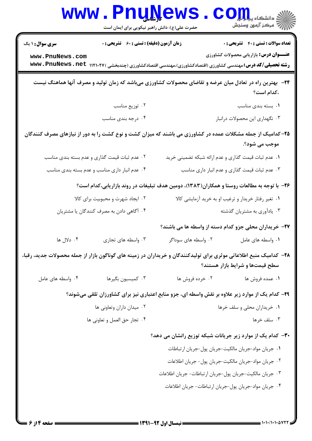|                                                                                                                    | <b>WWW.PNUNEWS</b><br>حضرت علی(ع): دانش راهبر نیکویی برای ایمان است |                                                                                                                     | الله دانشکاه پ <b>یابازل</b><br>ایران مرکز آزمون وسنجش |
|--------------------------------------------------------------------------------------------------------------------|---------------------------------------------------------------------|---------------------------------------------------------------------------------------------------------------------|--------------------------------------------------------|
| <b>سری سوال : ۱ یک</b>                                                                                             | <b>زمان آزمون (دقیقه) : تستی : 60 ٪ تشریحی : 0</b>                  |                                                                                                                     | <b>تعداد سوالات : تستی : 40 - تشریحی : .</b>           |
| www.PnuNews.com                                                                                                    |                                                                     | <b>رشته تحصیلی/کد درس:</b> مهندسی کشاورزی (اقتصادکشاورزی)،مهندسی اقتصادکشاورزی (چندبخشی )۱۲۱۰۲۷ Dww . PnuNews . net | <b>عنـــوان درس:</b> بازاریابی محصولات کشاورزی         |
|                                                                                                                    |                                                                     | ۲۴- بهترین راه در تعادل میان عرضه و تقاضای محصولات کشاورزی میباشد که زمان تولید و مصرف آنها هماهنگ نیست             | ،کدام است؟                                             |
|                                                                                                                    | ۰۲ توزیع مناسب                                                      |                                                                                                                     | ٠١. بسته بندى مناسب                                    |
|                                                                                                                    | ۰۴ درجه بندی مناسب                                                  |                                                                                                                     | ۰۳ نگهداری این محصولات درانبار                         |
|                                                                                                                    |                                                                     | ۲۵– کدامیک از جمله مشکلات عمده در کشاورزی می باشند که میزان کشت و نوع کشت را به دور از نیازهای مصرف کنندگان         | موجب مي شود؟.                                          |
|                                                                                                                    | ۰۲ عدم ثبات قیمت گذاری و عدم بسته بندی مناسب                        | ۰۱ عدم ثبات قیمت گذاری و عدم ارائه شبکه تضمینی خرید                                                                 |                                                        |
|                                                                                                                    | ۰۴ عدم انبار داری مناسب و عدم بسته بندی مناسب                       |                                                                                                                     | ۰۳ عدم ثبات قیمت گذاری و عدم انبار داری مناسب          |
|                                                                                                                    |                                                                     | ۲۶- با توجه به مطالعات روستا و همکاران(۱۳۸۳)، دومین هدف تبلیغات در روند بازاریابی،کدام است؟                         |                                                        |
|                                                                                                                    | ۰۲ ایجاد شهرت و محبوبیت برای کالا                                   |                                                                                                                     | ۰۱ تغیر رفتار خریدار و ترغیب او به خرید آزمایشی کالا   |
|                                                                                                                    | ۰۴ آگاهی دادن به مصرف کنندگان یا مشتریان                            |                                                                                                                     | ۰۳ یادآوری به مشتریان گذشته                            |
|                                                                                                                    |                                                                     |                                                                                                                     | ۲۷- خریداران محلی جزو کدام دسته از واسطه ها می باشند؟  |
| ۰۴ دلال ها                                                                                                         | ۰۳ واسطه های تجاری                                                  | ۰۲ واسطه های سوداگر                                                                                                 | ٠١ واسطه هاى عامل                                      |
| ۲۸– کدامیک منبع اطلاعاتی موثری برای تولیدکنندگان و خریداران در زمینه های گوناگون بازار از جمله محصولات جدید، رقبا، |                                                                     |                                                                                                                     | سطح قیمتها و شرایط بازار هستند؟                        |
| ۰۴ واسطه های عامل                                                                                                  | ۰۳ کمیسیون بگیرها                                                   | ۰۲ خرده فروش ها                                                                                                     | ٠١ عمده فروش ها                                        |
|                                                                                                                    |                                                                     | ۲۹- کدام یک از موارد زیر علاوه بر نقش واسطه ای، جزو منابع اعتباری نیز برای کشاورزان تلقی میشوند؟                    |                                                        |
|                                                                                                                    | ۰۲ میدان داران وتعاونی ها                                           |                                                                                                                     | ٠١ خريداران محلي و سلف خرها                            |
|                                                                                                                    | ۰۴ تجار حق العمل و تعاوني ها                                        |                                                                                                                     | ۰۳ سلف خرها                                            |
|                                                                                                                    |                                                                     | ۳۰- کدام یک از موارد زیر جریانات شبکه توزیع رانشان می دهد؟                                                          |                                                        |
|                                                                                                                    |                                                                     |                                                                                                                     | ٠١ جريان مواد-جريان مالكيت-جريان پول-جريان ارتباطات    |
|                                                                                                                    |                                                                     |                                                                                                                     | ٠٢ جريان مواد-جريان مالكيت-جريان پول- جريان اطلاعات    |
|                                                                                                                    |                                                                     | ۰۳ جریان مالکیت-جریان پول-جریان ارتباطات- جریان اطلاعات                                                             |                                                        |
|                                                                                                                    |                                                                     | ۰۴ جريان مواد جريان پول-جريان ارتباطات- جريان اطلاعات                                                               |                                                        |
|                                                                                                                    |                                                                     |                                                                                                                     |                                                        |
|                                                                                                                    |                                                                     |                                                                                                                     | 1.1.7.1.1.7.7                                          |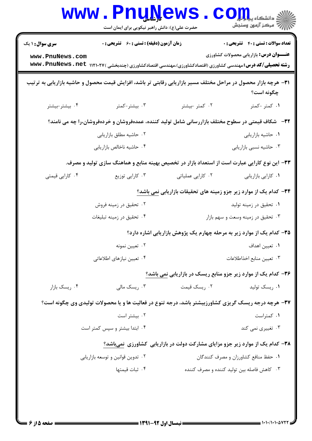|                        | <b>www.PnuNews</b><br>حضرت علی(ع): دانش راهبر نیکویی برای ایمان است                                                 |                   | دانشکاه پی <mark>ا با د</mark> ر<br>رُ⁄ مرڪز آزمون وسنڊش                      |
|------------------------|---------------------------------------------------------------------------------------------------------------------|-------------------|-------------------------------------------------------------------------------|
| <b>سری سوال : ۱ یک</b> | زمان آزمون (دقیقه) : تستی : 60 ٪ تشریحی : 0                                                                         |                   | <b>تعداد سوالات : تستی : 40 قشریحی : 0</b>                                    |
| www.PnuNews.com        | <b>رشته تحصیلی/کد درس:</b> مهندسی کشاورزی (اقتصادکشاورزی)،مهندسی اقتصادکشاورزی (چندبخشی )۱۲۱۰۲۷ Dww . PnuNews . net |                   | <b>عنـــوان درس:</b> بازاریابی محصولات کشاورزی                                |
|                        | ۳۱– هرچه بازار محصول در مراحل مختلف مسیر بازاریابی رقابتی تر باشد، افزایش قیمت محصول و حاشیه بازاریابی به ترتیب     |                   | چگونه است؟                                                                    |
| ۰۴ بیشتر-بیشتر         | ۰۳ بیشتر-کمتر                                                                                                       | ۰۲ کمتر -بیشتر    | ۰۱ کمتر -کمتر                                                                 |
|                        | ۳۲–۔ شکاف قیمتی در سطوح مختلف بازاررسانی شامل تولید کننده، عمدهفروشان و خردهفروشان،را چه می نامند؟                  |                   |                                                                               |
|                        | ۰۲ حاشیه مطلق بازاریابی                                                                                             |                   | ٠١ حاشيه بازاريابي                                                            |
|                        | ۰۴ حاشیه ناخالص بازاریابی                                                                                           |                   | ۰۳ حاشیه نسبی بازاریابی                                                       |
|                        | ۳۳– این نوع کارایی عبارت است از استعداد بازار در تخصیص بهینه منابع و هماهنگ سازی تولید و مصرف.                      |                   |                                                                               |
| ۰۴ کارایی قیمتی        | ۰۳ کارایی توزیع                                                                                                     | ۰۲ کارایی عملیاتی | ٠١ كارايي بازاريابي                                                           |
|                        |                                                                                                                     |                   | ۳۴– کدام یک از موارد زیر جزو زمینه های تحقیقات بازاریابی <u>نمی</u> باشد؟     |
|                        | ۰۲ تحقیق در زمینه فروش                                                                                              |                   | ۰۱ تحقیق در زمینه تولید                                                       |
|                        | ۰۴ تحقیق در زمینه تبلیغات                                                                                           |                   | ۰۳ تحقیق در زمینه وسعت و سهم بازار                                            |
|                        |                                                                                                                     |                   | ۳۵- کدام یک از موارد زیر به مرحله چهارم یک پژوهش بازاریابی اشاره دارد؟        |
|                        | ۰۲ تعیین نمونه                                                                                                      |                   | ۰۱ تعیین اهداف                                                                |
|                        | ۰۴ تعیین نیازهای اطلاعاتی                                                                                           |                   | ٠٣ تعيين منابع اخذاطلاعات                                                     |
|                        |                                                                                                                     |                   | ۳۶- کدام یک از موارد زیر جزو منابع ریسک در بازاریابی نمی باشد؟                |
| ۰۴ ریسک بازار          | ۰۳ <sub>ر</sub> یسک مال <sub>ی</sub>                                                                                | ۰۲ ریسک قیمت      | ۰۱ ریسک تولید                                                                 |
|                        | 37- هرچه درجه ریسک گریزی کشاورزبیشتر باشد، درجه تنوع در فعالیت ها و یا محصولات تولیدی وی چگونه است؟                 |                   |                                                                               |
|                        | ۰۲ بیشتر است                                                                                                        |                   | ۰۱ کمتراست                                                                    |
|                        | ۰۴ ابتدا بیشتر و سپس کمتر است                                                                                       |                   | ۰۳ تغییری نمی کند                                                             |
|                        |                                                                                                                     |                   | ۳۸- کدام یک از موارد زیر جزو مزایای مشارکت دولت در بازاریابی کشاورزی نمیباشد؟ |
|                        | ۰۲ تدوین قوانین و توسعه بازاریابی                                                                                   |                   | ۰۱ حفظ منافع کشاورزان و مصرف کنندگان                                          |
|                        | ۰۴ ثبات قیمتها                                                                                                      |                   | ۰۳ کاهش فاصله بین تولید کننده و مصرف کننده                                    |
|                        |                                                                                                                     |                   |                                                                               |
|                        |                                                                                                                     |                   |                                                                               |